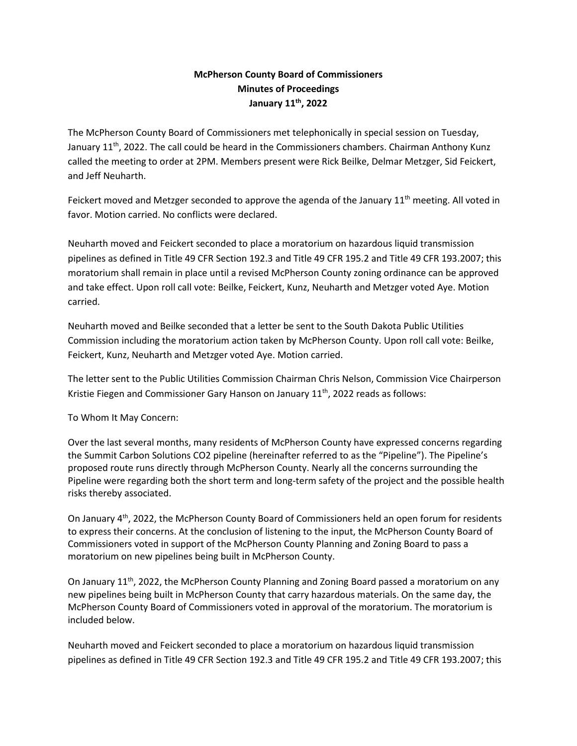## **McPherson County Board of Commissioners Minutes of Proceedings January 11th, 2022**

The McPherson County Board of Commissioners met telephonically in special session on Tuesday, January  $11<sup>th</sup>$ , 2022. The call could be heard in the Commissioners chambers. Chairman Anthony Kunz called the meeting to order at 2PM. Members present were Rick Beilke, Delmar Metzger, Sid Feickert, and Jeff Neuharth.

Feickert moved and Metzger seconded to approve the agenda of the January  $11<sup>th</sup>$  meeting. All voted in favor. Motion carried. No conflicts were declared.

Neuharth moved and Feickert seconded to place a moratorium on hazardous liquid transmission pipelines as defined in Title 49 CFR Section 192.3 and Title 49 CFR 195.2 and Title 49 CFR 193.2007; this moratorium shall remain in place until a revised McPherson County zoning ordinance can be approved and take effect. Upon roll call vote: Beilke, Feickert, Kunz, Neuharth and Metzger voted Aye. Motion carried.

Neuharth moved and Beilke seconded that a letter be sent to the South Dakota Public Utilities Commission including the moratorium action taken by McPherson County. Upon roll call vote: Beilke, Feickert, Kunz, Neuharth and Metzger voted Aye. Motion carried.

The letter sent to the Public Utilities Commission Chairman Chris Nelson, Commission Vice Chairperson Kristie Fiegen and Commissioner Gary Hanson on January 11<sup>th</sup>, 2022 reads as follows:

To Whom It May Concern:

Over the last several months, many residents of McPherson County have expressed concerns regarding the Summit Carbon Solutions CO2 pipeline (hereinafter referred to as the "Pipeline"). The Pipeline's proposed route runs directly through McPherson County. Nearly all the concerns surrounding the Pipeline were regarding both the short term and long-term safety of the project and the possible health risks thereby associated.

On January 4th, 2022, the McPherson County Board of Commissioners held an open forum for residents to express their concerns. At the conclusion of listening to the input, the McPherson County Board of Commissioners voted in support of the McPherson County Planning and Zoning Board to pass a moratorium on new pipelines being built in McPherson County.

On January 11th, 2022, the McPherson County Planning and Zoning Board passed a moratorium on any new pipelines being built in McPherson County that carry hazardous materials. On the same day, the McPherson County Board of Commissioners voted in approval of the moratorium. The moratorium is included below.

Neuharth moved and Feickert seconded to place a moratorium on hazardous liquid transmission pipelines as defined in Title 49 CFR Section 192.3 and Title 49 CFR 195.2 and Title 49 CFR 193.2007; this